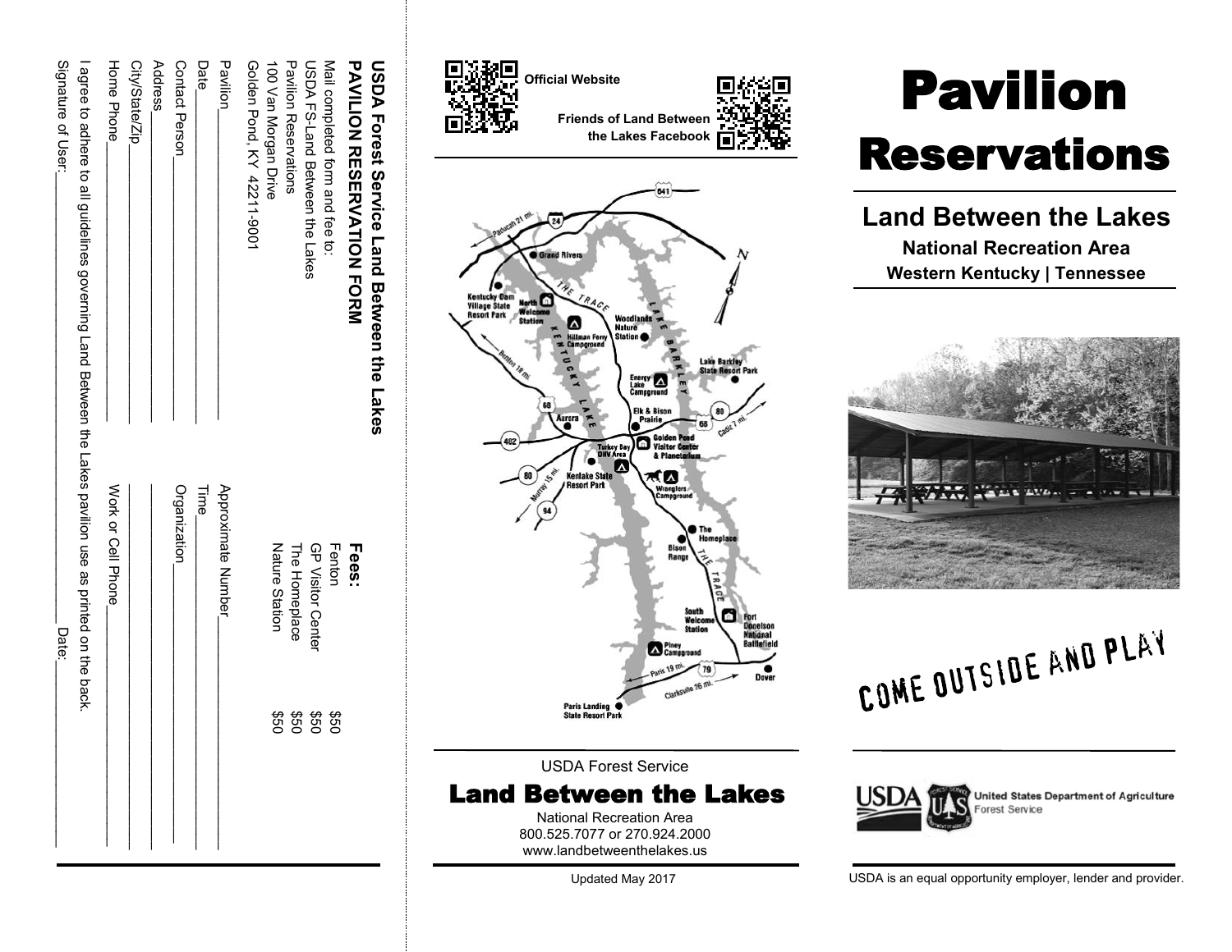| USDA Forest Service Land Between the Lakes                                                              |                       |            |  |
|---------------------------------------------------------------------------------------------------------|-----------------------|------------|--|
| PANILON RESERVATION FORM                                                                                | Fees:                 |            |  |
| Mail condeted form and tee to:                                                                          | Fenton                | 09\$       |  |
| USDA FS-Land Between the Lakes                                                                          | GP Visitor Center     | 09\$       |  |
| Pavilion Reservations                                                                                   | The Homeplace         | 09\$       |  |
| 100 Van Morgan Drive                                                                                    | <b>Nature Station</b> | <b>950</b> |  |
| Golden Pond, KY 42211-9001                                                                              |                       |            |  |
| Pavilion                                                                                                | Approximate Number    |            |  |
| Date <sub>.</sub>                                                                                       | Time                  |            |  |
| Contact Person                                                                                          | Organization          |            |  |
| Address                                                                                                 |                       |            |  |
| City/State/Zip_                                                                                         |                       |            |  |
| Home Phone                                                                                              | Work or Cell Phone    |            |  |
| agree to adhere to all guidelines governing Land Between the Lakes pavilion use as printed on the back. |                       |            |  |
| Signature of User:                                                                                      | Date:                 |            |  |



USDA Forest Service

Land Between the Lakes National Recreation Area

800.525.7077 or 270.924.2000 [www.landbetweenthelakes.us](http://www.landbetweenthelakes.us)

Updated May 2017

# Pavilion Reservations

**Land Between the Lakes National Recreation Area Western Kentucky | Tennessee**



COME OUTSIDE AND PLAY



USDA is an equal opportunity employer, lender and provider.